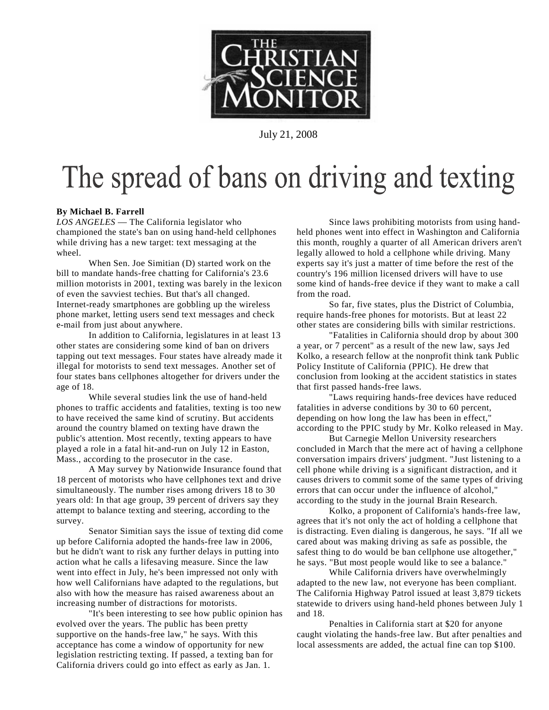

July 21, 2008

### The spread of bans on driving and texting

#### **By Michael B. Farrell**

*LOS ANGELES* — The [California](http://www.csmonitor.com/tags/topic/California) legislator who championed the state's ban on using hand-held cellphones while driving has a new target: text messaging at the wheel.

When [Sen. Joe Simitian](http://www.csmonitor.com/tags/topic/Joe+Simitian) (D) started work on the bill to mandate hands-free chatting for California's 23.6 million motorists in 2001, texting was barely in the lexicon of even the savviest techies. But that's all changed. Internet-ready smartphones are gobbling up the wireless phone market, letting users send text messages and check e-mail from just about anywhere.

In addition to California, legislatures in at least 13 other states are considering some kind of ban on drivers tapping out text messages. Four states have already made it illegal for motorists to send text messages. Another set of four states bans cellphones altogether for drivers under the age of 18.

While several studies link the use of hand-held phones to traffic accidents and fatalities, texting is too new to have received the same kind of scrutiny. But accidents around the country blamed on texting have drawn the public's attention. Most recently, texting appears to have played a role in a fatal hit-and-run on July 12 in [Easton,](http://www.csmonitor.com/tags/topic/Easton) Mass., according to the prosecutor in the case.

A May survey by [Nationwide Insurance](http://www.csmonitor.com/tags/topic/Nationwide+Mutual+Insurance+Company) found that 18 percent of motorists who have cellphones text and drive simultaneously. The number rises among drivers 18 to 30 years old: In that age group, 39 percent of drivers say they attempt to balance texting and steering, according to the survey.

Senator Simitian says the issue of texting did come up before California adopted the hands-free law in 2006, but he didn't want to risk any further delays in putting into action what he calls a lifesaving measure. Since the law went into effect in July, he's been impressed not only with how well Californians have adapted to the regulations, but also with how the measure has raised awareness about an increasing number of distractions for motorists.

"It's been interesting to see how public opinion has evolved over the years. The public has been pretty supportive on the hands-free law," he says. With this acceptance has come a window of opportunity for new legislation restricting texting. If passed, a texting ban for California drivers could go into effect as early as Jan. 1.

Since laws prohibiting motorists from using handheld phones went into effect in Washington and California this month, roughly a quarter of all American drivers aren't legally allowed to hold a cellphone while driving. Many experts say it's just a matter of time before the rest of the country's 196 million licensed drivers will have to use some kind of hands-free device if they want to make a call from the road.

So far, five states, plus the [District of Columbia,](http://www.csmonitor.com/tags/topic/Washington%2c+DC) require hands-free phones for motorists. But at least 22 other states are considering bills with similar restrictions.

"Fatalities in California should drop by about 300 a year, or 7 percent" as a result of the new law, says [Jed](http://www.csmonitor.com/tags/topic/Jed+Kolko)  [Kolko,](http://www.csmonitor.com/tags/topic/Jed+Kolko) a research fellow at the nonprofit think tank [Public](http://www.csmonitor.com/tags/topic/Public+Policy+Institute+of+California)  [Policy Institute of California](http://www.csmonitor.com/tags/topic/Public+Policy+Institute+of+California) (PPIC). He drew that conclusion from looking at the accident statistics in states that first passed hands-free laws.

"Laws requiring hands-free devices have reduced fatalities in adverse conditions by 30 to 60 percent, depending on how long the law has been in effect," according to the PPIC study by Mr. Kolko released in May.

But Carnegie Mellon University researchers concluded in March that the mere act of having a cellphone conversation impairs drivers' judgment. "Just listening to a cell phone while driving is a significant distraction, and it causes drivers to commit some of the same types of driving errors that can occur under the influence of alcohol," according to the study in the journal Brain Research.

Kolko, a proponent of California's hands-free law, agrees that it's not only the act of holding a cellphone that is distracting. Even dialing is dangerous, he says. "If all we cared about was making driving as safe as possible, the safest thing to do would be ban cellphone use altogether," he says. "But most people would like to see a balance."

While California drivers have overwhelmingly adapted to the new law, not everyone has been compliant. The [California Highway Patrol](http://www.csmonitor.com/tags/topic/California+Highway+Patrol) issued at least 3,879 tickets statewide to drivers using hand-held phones between July 1 and 18.

Penalties in California start at \$20 for anyone caught violating the hands-free law. But after penalties and local assessments are added, the actual fine can top \$100.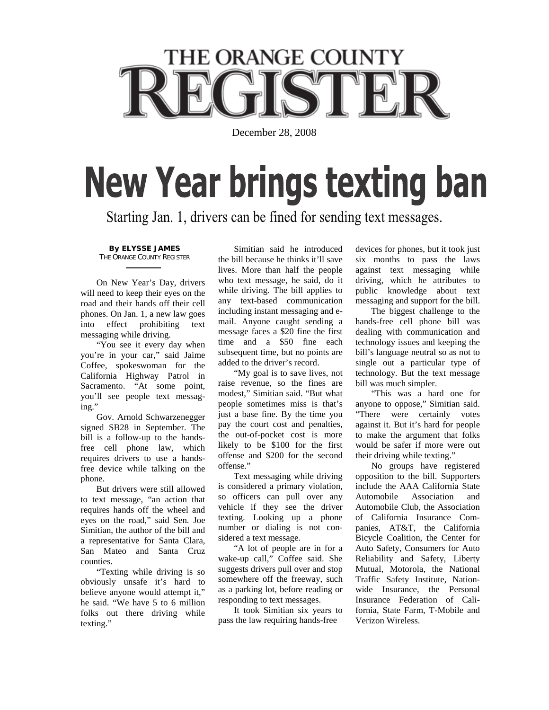# **THE ORANGE COUNTY**

December 28, 2008

## **New Year brings texting ban**

Starting Jan. 1, drivers can be fined for sending text messages.

**By ELYSSE JAMES** THE ORANGE COUNTY REGISTER

 On New Year's Day, drivers will need to keep their eyes on the road and their hands off their cell phones. On Jan. 1, a new law goes into effect prohibiting text messaging while driving.

 "You see it every day when you're in your car," said Jaime Coffee, spokeswoman for the California Highway Patrol in Sacramento. "At some point, you'll see people text messaging."

 Gov. Arnold Schwarzenegger signed SB28 in September. The bill is a follow-up to the handsfree cell phone law, which requires drivers to use a handsfree device while talking on the phone.

 But drivers were still allowed to text message, "an action that requires hands off the wheel and eyes on the road," said Sen. Joe Simitian, the author of the bill and a representative for Santa Clara, San Mateo and Santa Cruz counties.

 "Texting while driving is so obviously unsafe it's hard to believe anyone would attempt it," he said. "We have 5 to 6 million folks out there driving while texting."

 Simitian said he introduced the bill because he thinks it'll save lives. More than half the people who text message, he said, do it while driving. The bill applies to any text-based communication including instant messaging and email. Anyone caught sending a message faces a \$20 fine the first time and a \$50 fine each subsequent time, but no points are added to the driver's record.

 "My goal is to save lives, not raise revenue, so the fines are modest," Simitian said. "But what people sometimes miss is that's just a base fine. By the time you pay the court cost and penalties, the out-of-pocket cost is more likely to be \$100 for the first offense and \$200 for the second offense."

 Text messaging while driving is considered a primary violation, so officers can pull over any vehicle if they see the driver texting. Looking up a phone number or dialing is not considered a text message.

 "A lot of people are in for a wake-up call," Coffee said. She suggests drivers pull over and stop somewhere off the freeway, such as a parking lot, before reading or responding to text messages.

 It took Simitian six years to pass the law requiring hands-free

devices for phones, but it took just six months to pass the laws against text messaging while driving, which he attributes to public knowledge about text messaging and support for the bill.

 The biggest challenge to the hands-free cell phone bill was dealing with communication and technology issues and keeping the bill's language neutral so as not to single out a particular type of technology. But the text message bill was much simpler.

 "This was a hard one for anyone to oppose," Simitian said. "There were certainly votes against it. But it's hard for people to make the argument that folks would be safer if more were out their driving while texting."

 No groups have registered opposition to the bill. Supporters include the AAA California State Automobile Association and Automobile Club, the Association of California Insurance Companies, AT&T, the California Bicycle Coalition, the Center for Auto Safety, Consumers for Auto Reliability and Safety, Liberty Mutual, Motorola, the National Traffic Safety Institute, Nationwide Insurance, the Personal Insurance Federation of California, State Farm, T-Mobile and Verizon Wireless.